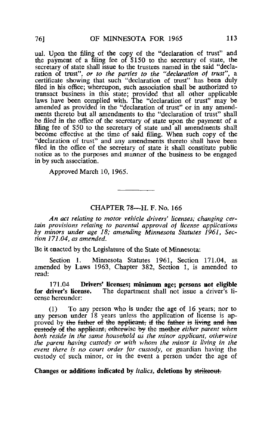ual. Upon the filing of the copy of the "declaration of trust" and the payment of a filing fee of \$150 to the secretary of state, the secretary of state shall issue to the trustees named in the said "declaration of trust", or to the parties to the "declaration of trust", a certificate showing that such "declaration of trust" has been duly filed in his office; whereupon, such association shall be authorized to transact business in this state; provided that all other applicable laws have been complied with. The "declaration of trust" may be amended as provided in the "declaration of trust" or in any amendments thereto but all amendments to the "declaration of trust" shall be filed in the office of the secretary of state upon the payment of a filing fee of \$50 to the secretary of state and all amendments shall become effective at the time of said filing. When such copy of the "declaration of trust" and any amendments thereto shall have been filed in the office of the secretary of state it shall constitute public notice as to the purposes and manner of the business to be engaged in by such association.

Approved March 10, 1965.

## CHAPTER 78—H. F. No. 166

An act relating to motor vehicle drivers' licenses; changing certain provisions relating to parental approval of license applications by minors under age 18; amending Minnesota Statutes 1961, Section 171.04, as amended.

Be it enacted by the Legislature of the State of Minnesota;

Section 1. Minnesota Statutes 1961, Section 171.04, as amended by Laws 1963, Chapter 382, Section 1, is amended to read;

171.04 Drivers' licenses; minimum age; persons not eligible for driver's license. The department shall not issue a driver's li-The department shall not issue a driver's license hereunder:

(1) To any person who is under the age of 16 years; nor to any person under 18 years unless the application of license is approved by the father of the applicant, if the father is living and has eustody of the applicant; otherwise by the mother either parent when both reside in the same household as the minor applicant, otherwise the parent having custody or with whom the minor is living in the event there is no court order for custody, or guardian having the custody of such minor, or in the event a person under the age of

Changes or additions indicated by italics, deletions by strikeout.